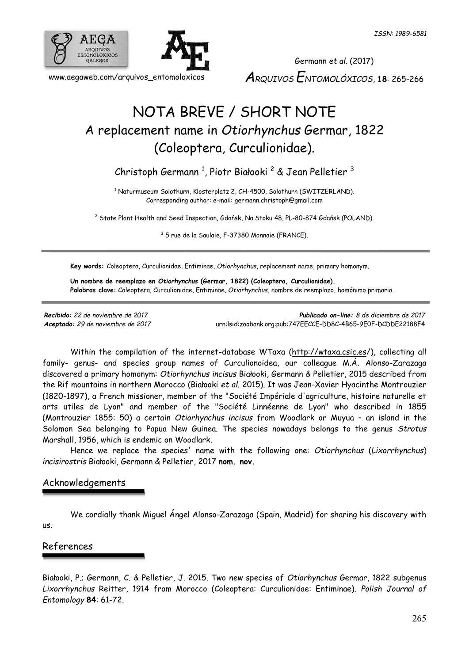

www.aegaweb.com/arquivos\_entomoloxicos

Germann *et al.* (2017) *ARQUIVOS ENTOMOLÓXICOS*, **18**: 265-266

## NOTA BREVE / SHORT NOTE A replacement name in *Otiorhynchus* Germar, 1822 (Coleoptera, Curculionidae).

Christoph Germann <sup>1</sup>, Piotr Białooki <sup>2</sup> & Jean Pelletier <sup>3</sup>

<sup>1</sup> Naturmuseum Solothurn, Klosterplatz 2, CH-4500, Solothurn (SWITZERLAND). Corresponding author: e-mail: germann.christoph@gmail.com

<sup>2</sup> State Plant Health and Seed Inspection, Gdańsk, Na Stoku 48, PL-80-874 Gdańsk (POLAND).

<sup>3</sup> 5 rue de la Saulaie, F-37380 Monnaie (FRANCE).

**Key words:** Coleoptera, Curculionidae, Entiminae, *Otiorhynchus*, replacement name, primary homonym.

**Un nombre de reemplazo en** *Otiorhynchus* **(Germar, 1822) (Coleoptera, Curculionidae). Palabras clave:** Coleoptera, Curculionidae, Entiminae, *Otiorhynchus*, nombre de reemplazo, homónimo primario.

*Recibido: 22 de noviembre de 2017 Publicado on-line: 8 de diciembre de 2017 Aceptado: 29 de noviembre de 2017* [urn:lsid:zoobank.org:pub:747EECCE-DD8C-4B65-9E0F-DCDDE22188F4](http://www.zoobank.org/urn:lsid:zoobank.org:pub:747EECCE-DD8C-4B65-9E0F-DCDDE22188F4)

Within the compilation of the internet-database WTaxa [\(http://wtaxa.csic.es/](http://wtaxa.csic.es/)), collecting all family- genus- and species group names of Curculionoidea, our colleague M.Á. Alonso-Zarazaga discovered a primary homonym: *Otiorhynchus incisus* Białooki, Germann & Pelletier, 2015 described from the Rif mountains in northern Morocco (Białooki *et al.* 2015). It was Jean-Xavier Hyacinthe Montrouzier (1820-1897), a French missioner, member of the "Société Impériale d'agriculture, histoire naturelle et arts utiles de Lyon" and member of the "Société Linnéenne de Lyon" who described in 1855 (Montrouzier 1855: 50) a certain *Otiorhynchus incisus* from Woodlark or Muyua – an island in the Solomon Sea belonging to Papua New Guinea. The species nowadays belongs to the genus *Strotus* Marshall, 1956, which is endemic on Woodlark.

Hence we replace the species' name with the following one: *Otiorhynchus* (*Lixorrhynchus*) *incisirostris* Białooki, Germann & Pelletier, 2017 **nom. nov.**

## Acknowledgements

We cordially thank Miguel Ángel Alonso-Zarazaga (Spain, Madrid) for sharing his discovery with us.

## References

Białooki, P.; Germann, C. & Pelletier, J. 2015. Two new species of *Otiorhynchus* Germar, 1822 subgenus *Lixorrhynchus* Reitter, 1914 from Morocco (Coleoptera: Curculionidae: Entiminae). *Polish Journal of Entomology* **84**: 61-72.